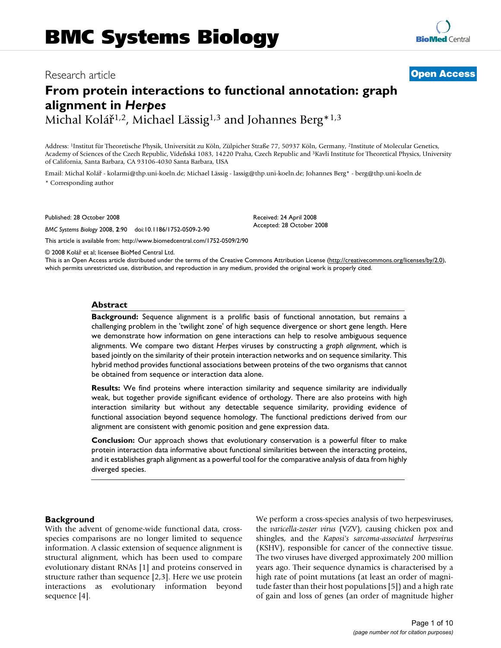### Research article **[Open Access](http://www.biomedcentral.com/info/about/charter/)**

# **[BioMed](http://www.biomedcentral.com/)** Central

## **From protein interactions to functional annotation: graph alignment in** *Herpes*

Michal Kolář<sup>1,2</sup>, Michael Lässig<sup>1,3</sup> and Johannes Berg<sup>\*1,3</sup>

Address: 1Institut für Theoretische Physik, Universität zu Köln, Zülpicher Straße 77, 50937 Köln, Germany, 2Institute of Molecular Genetics, Academy of Sciences of the Czech Republic, Vídeňská 1083, 14220 Praha, Czech Republic and 3Kavli Institute for Theoretical Physics, University of California, Santa Barbara, CA 93106-4030 Santa Barbara, USA

Received: 24 April 2008

Email: Michal Kolář - kolarmi@thp.uni-koeln.de; Michael Lässig - lassig@thp.uni-koeln.de; Johannes Berg\* - berg@thp.uni-koeln.de \* Corresponding author

Published: 28 October 2008

*BMC Systems Biology* 2008, **2**:90 doi:10.1186/1752-0509-2-90

Accepted: 28 October 2008

[This article is available from: http://www.biomedcentral.com/1752-0509/2/90](http://www.biomedcentral.com/1752-0509/2/90)

© 2008 Kolář et al; licensee BioMed Central Ltd.

This is an Open Access article distributed under the terms of the Creative Commons Attribution License [\(http://creativecommons.org/licenses/by/2.0\)](http://creativecommons.org/licenses/by/2.0), which permits unrestricted use, distribution, and reproduction in any medium, provided the original work is properly cited.

#### **Abstract**

**Background:** Sequence alignment is a prolific basis of functional annotation, but remains a challenging problem in the 'twilight zone' of high sequence divergence or short gene length. Here we demonstrate how information on gene interactions can help to resolve ambiguous sequence alignments. We compare two distant *Herpes* viruses by constructing a *graph alignment*, which is based jointly on the similarity of their protein interaction networks and on sequence similarity. This hybrid method provides functional associations between proteins of the two organisms that cannot be obtained from sequence or interaction data alone.

**Results:** We find proteins where interaction similarity and sequence similarity are individually weak, but together provide significant evidence of orthology. There are also proteins with high interaction similarity but without any detectable sequence similarity, providing evidence of functional association beyond sequence homology. The functional predictions derived from our alignment are consistent with genomic position and gene expression data.

**Conclusion:** Our approach shows that evolutionary conservation is a powerful filter to make protein interaction data informative about functional similarities between the interacting proteins, and it establishes graph alignment as a powerful tool for the comparative analysis of data from highly diverged species.

#### **Background**

With the advent of genome-wide functional data, crossspecies comparisons are no longer limited to sequence information. A classic extension of sequence alignment is structural alignment, which has been used to compare evolutionary distant RNAs [1] and proteins conserved in structure rather than sequence [2,3]. Here we use protein interactions as evolutionary information beyond sequence [4].

We perform a cross-species analysis of two herpesviruses, the *varicella-zoster virus* (VZV), causing chicken pox and shingles, and the *Kaposi's sarcoma-associated herpesvirus* (KSHV), responsible for cancer of the connective tissue. The two viruses have diverged approximately 200 million years ago. Their sequence dynamics is characterised by a high rate of point mutations (at least an order of magnitude faster than their host populations [5]) and a high rate of gain and loss of genes (an order of magnitude higher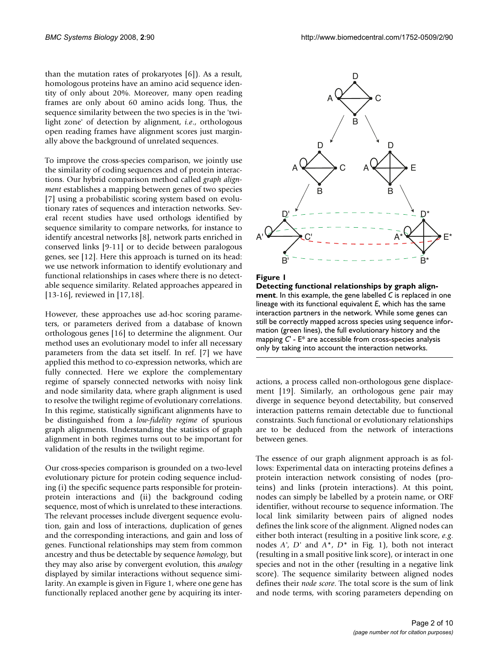than the mutation rates of prokaryotes [6]). As a result, homologous proteins have an amino acid sequence identity of only about 20%. Moreover, many open reading frames are only about 60 amino acids long. Thus, the sequence similarity between the two species is in the 'twilight zone' of detection by alignment, *i.e*., orthologous open reading frames have alignment scores just marginally above the background of unrelated sequences.

To improve the cross-species comparison, we jointly use the similarity of coding sequences and of protein interactions. Our hybrid comparison method called *graph alignment* establishes a mapping between genes of two species [7] using a probabilistic scoring system based on evolutionary rates of sequences and interaction networks. Several recent studies have used orthologs identified by sequence similarity to compare networks, for instance to identify ancestral networks [8], network parts enriched in conserved links [9-11] or to decide between paralogous genes, see [12]. Here this approach is turned on its head: we use network information to identify evolutionary and functional relationships in cases where there is no detectable sequence similarity. Related approaches appeared in [13-16], reviewed in [17,18].

However, these approaches use ad-hoc scoring parameters, or parameters derived from a database of known orthologous genes [16] to determine the alignment. Our method uses an evolutionary model to infer all necessary parameters from the data set itself. In ref. [7] we have applied this method to co-expression networks, which are fully connected. Here we explore the complementary regime of sparsely connected networks with noisy link and node similarity data, where graph alignment is used to resolve the twilight regime of evolutionary correlations. In this regime, statistically significant alignments have to be distinguished from a *low-fidelity regime* of spurious graph alignments. Understanding the statistics of graph alignment in both regimes turns out to be important for validation of the results in the twilight regime.

Our cross-species comparison is grounded on a two-level evolutionary picture for protein coding sequence including (i) the specific sequence parts responsible for proteinprotein interactions and (ii) the background coding sequence, most of which is unrelated to these interactions. The relevant processes include divergent sequence evolution, gain and loss of interactions, duplication of genes and the corresponding interactions, and gain and loss of genes. Functional relationships may stem from common ancestry and thus be detectable by sequence *homology*, but they may also arise by convergent evolution, this *analogy* displayed by similar interactions without sequence similarity. An example is given in Figure 1, where one gene has functionally replaced another gene by acquiring its inter-



#### **Figure 1**

**Detecting functional relationships by graph alignment**. In this example, the gene labelled *C* is replaced in one lineage with its functional equivalent *E*, which has the same interaction partners in the network. While some genes can still be correctly mapped across species using sequence information (green lines), the full evolutionary history and the mapping *C'* - E\* are accessible from cross-species analysis only by taking into account the interaction networks.

actions, a process called non-orthologous gene displacement [19]. Similarly, an orthologous gene pair may diverge in sequence beyond detectability, but conserved interaction patterns remain detectable due to functional constraints. Such functional or evolutionary relationships are to be deduced from the network of interactions between genes.

The essence of our graph alignment approach is as follows: Experimental data on interacting proteins defines a protein interaction network consisting of nodes (proteins) and links (protein interactions). At this point, nodes can simply be labelled by a protein name, or ORF identifier, without recourse to sequence information. The local link similarity between pairs of aligned nodes defines the link score of the alignment. Aligned nodes can either both interact (resulting in a positive link score, *e.g*. nodes *A'*, *D'* and *A*\*, *D*\* in Fig. 1), both not interact (resulting in a small positive link score), or interact in one species and not in the other (resulting in a negative link score). The sequence similarity between aligned nodes defines their *node score*. The total score is the sum of link and node terms, with scoring parameters depending on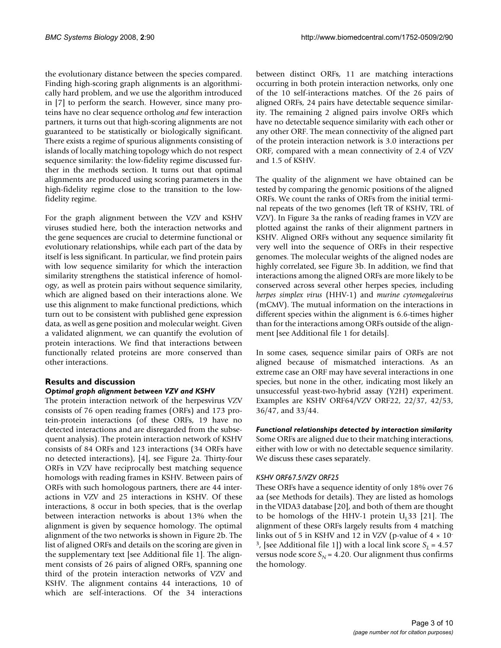the evolutionary distance between the species compared. Finding high-scoring graph alignments is an algorithmically hard problem, and we use the algorithm introduced in [7] to perform the search. However, since many proteins have no clear sequence ortholog *and* few interaction partners, it turns out that high-scoring alignments are not guaranteed to be statistically or biologically significant. There exists a regime of spurious alignments consisting of islands of locally matching topology which do not respect sequence similarity: the low-fidelity regime discussed further in the methods section. It turns out that optimal alignments are produced using scoring parameters in the high-fidelity regime close to the transition to the lowfidelity regime.

For the graph alignment between the VZV and KSHV viruses studied here, both the interaction networks and the gene sequences are crucial to determine functional or evolutionary relationships, while each part of the data by itself is less significant. In particular, we find protein pairs with low sequence similarity for which the interaction similarity strengthens the statistical inference of homology, as well as protein pairs without sequence similarity, which are aligned based on their interactions alone. We use this alignment to make functional predictions, which turn out to be consistent with published gene expression data, as well as gene position and molecular weight. Given a validated alignment, we can quantify the evolution of protein interactions. We find that interactions between functionally related proteins are more conserved than other interactions.

#### **Results and discussion** *Optimal graph alignment between VZV and KSHV*

The protein interaction network of the herpesvirus VZV consists of 76 open reading frames (ORFs) and 173 protein-protein interactions (of these ORFs, 19 have no detected interactions and are disregarded from the subsequent analysis). The protein interaction network of KSHV consists of 84 ORFs and 123 interactions (34 ORFs have no detected interactions), [4], see Figure 2a. Thirty-four ORFs in VZV have reciprocally best matching sequence homologs with reading frames in KSHV. Between pairs of ORFs with such homologous partners, there are 44 interactions in VZV and 25 interactions in KSHV. Of these interactions, 8 occur in both species, that is the overlap between interaction networks is about 13% when the alignment is given by sequence homology. The optimal alignment of the two networks is shown in Figure 2b. The list of aligned ORFs and details on the scoring are given in the supplementary text [see Additional file 1]. The alignment consists of 26 pairs of aligned ORFs, spanning one third of the protein interaction networks of VZV and KSHV. The alignment contains 44 interactions, 10 of which are self-interactions. Of the 34 interactions between distinct ORFs, 11 are matching interactions occurring in both protein interaction networks, only one of the 10 self-interactions matches. Of the 26 pairs of aligned ORFs, 24 pairs have detectable sequence similarity. The remaining 2 aligned pairs involve ORFs which have no detectable sequence similarity with each other or any other ORF. The mean connectivity of the aligned part of the protein interaction network is 3.0 interactions per ORF, compared with a mean connectivity of 2.4 of VZV and 1.5 of KSHV.

The quality of the alignment we have obtained can be tested by comparing the genomic positions of the aligned ORFs. We count the ranks of ORFs from the initial terminal repeats of the two genomes (left TR of KSHV, TRL of VZV). In Figure 3a the ranks of reading frames in VZV are plotted against the ranks of their alignment partners in KSHV. Aligned ORFs without any sequence similarity fit very well into the sequence of ORFs in their respective genomes. The molecular weights of the aligned nodes are highly correlated, see Figure 3b. In addition, we find that interactions among the aligned ORFs are more likely to be conserved across several other herpes species, including *herpes simplex virus* (HHV-1) and *murine cytomegalovirus* (mCMV). The mutual information on the interactions in different species within the alignment is 6.6-times higher than for the interactions among ORFs outside of the alignment [see Additional file 1 for details].

In some cases, sequence similar pairs of ORFs are not aligned because of mismatched interactions. As an extreme case an ORF may have several interactions in one species, but none in the other, indicating most likely an unsuccessful yeast-two-hybrid assay (Y2H) experiment. Examples are KSHV ORF64/VZV ORF22, 22/37, 42/53, 36/47, and 33/44.

*Functional relationships detected by interaction similarity* Some ORFs are aligned due to their matching interactions, either with low or with no detectable sequence similarity. We discuss these cases separately.

#### *KSHV ORF67.5/VZV ORF25*

These ORFs have a sequence identity of only 18% over 76 aa (see Methods for details). They are listed as homologs in the VIDA3 database [20], and both of them are thought to be homologs of the HHV-1 protein  $U_1$ 33 [21]. The alignment of these ORFs largely results from 4 matching links out of 5 in KSHV and 12 in VZV (p-value of  $4 \times 10^{-7}$ <sup>3</sup>, [see Additional file 1]) with a local link score  $S_L = 4.57$ versus node score  $S_N$  = 4.20. Our alignment thus confirms the homology.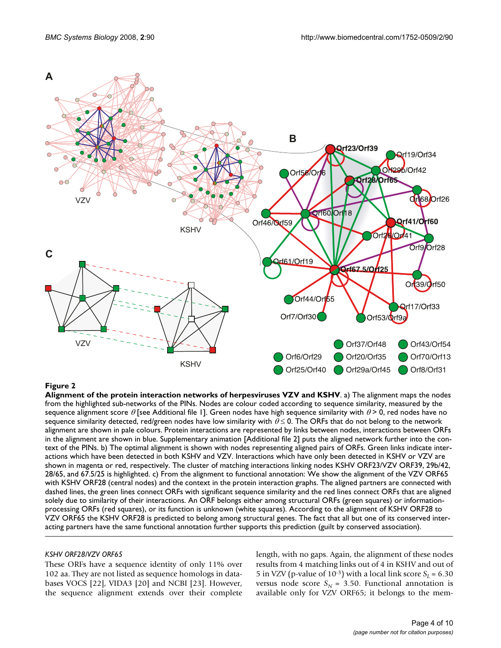

#### Alignment of the protein interaction ne **Figure 2** tworks of herpesviruses VZV and KSHV

**Alignment of the protein interaction networks of herpesviruses VZV and KSHV**. a) The alignment maps the nodes from the highlighted sub-networks of the PINs. Nodes are colour coded according to sequence similarity, measured by the sequence alignment score  $\theta$  [see Additional file 1]. Green nodes have high sequence similarity with  $\theta$  > 0, red nodes have no sequence similarity detected, red/green nodes have low similarity with  $\theta \le 0$ . The ORFs that do not belong to the network alignment are shown in pale colours. Protein interactions are represented by links between nodes, interactions between ORFs in the alignment are shown in blue. Supplementary animation [Additional file 2] puts the aligned network further into the context of the PINs. b) The optimal alignment is shown with nodes representing aligned pairs of ORFs. Green links indicate interactions which have been detected in both KSHV and VZV. Interactions which have only been detected in KSHV or VZV are shown in magenta or red, respectively. The cluster of matching interactions linking nodes KSHV ORF23/VZV ORF39, 29b/42, 28/65, and 67.5/25 is highlighted. c) From the alignment to functional annotation: We show the alignment of the VZV ORF65 with KSHV ORF28 (central nodes) and the context in the protein interaction graphs. The aligned partners are connected with dashed lines, the green lines connect ORFs with significant sequence similarity and the red lines connect ORFs that are aligned solely due to similarity of their interactions. An ORF belongs either among structural ORFs (green squares) or informationprocessing ORFs (red squares), or its function is unknown (white squares). According to the alignment of KSHV ORF28 to VZV ORF65 the KSHV ORF28 is predicted to belong among structural genes. The fact that all but one of its conserved interacting partners have the same functional annotation further supports this prediction (guilt by conserved association).

#### *KSHV ORF28/VZV ORF65*

These ORFs have a sequence identity of only 11% over 102 aa. They are not listed as sequence homologs in databases VOCS [22], VIDA3 [20] and NCBI [23]. However, the sequence alignment extends over their complete length, with no gaps. Again, the alignment of these nodes results from 4 matching links out of 4 in KSHV and out of 5 in VZV (p-value of  $10^{-3}$ ) with a local link score  $S_L$  = 6.30 versus node score  $S_N = 3.50$ . Functional annotation is available only for VZV ORF65; it belongs to the mem-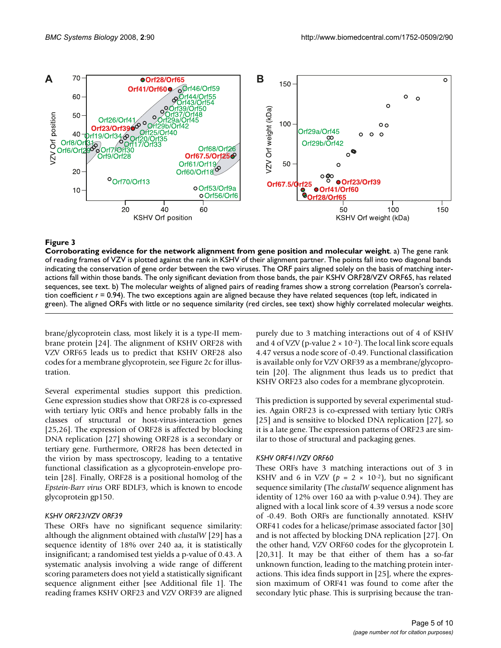

#### Corroborating evidence for the **Figure 3** network alignment from gene position and molecular weight

**Corroborating evidence for the network alignment from gene position and molecular weight**. a) The gene rank of reading frames of VZV is plotted against the rank in KSHV of their alignment partner. The points fall into two diagonal bands indicating the conservation of gene order between the two viruses. The ORF pairs aligned solely on the basis of matching interactions fall within those bands. The only significant deviation from those bands, the pair KSHV ORF28/VZV ORF65, has related sequences, see text. b) The molecular weights of aligned pairs of reading frames show a strong correlation (Pearson's correlation coefficient *r* = 0.94). The two exceptions again are aligned because they have related sequences (top left, indicated in green). The aligned ORFs with little or no sequence similarity (red circles, see text) show highly correlated molecular weights.

brane/glycoprotein class, most likely it is a type-II membrane protein [24]. The alignment of KSHV ORF28 with VZV ORF65 leads us to predict that KSHV ORF28 also codes for a membrane glycoprotein, see Figure 2c for illustration.

Several experimental studies support this prediction. Gene expression studies show that ORF28 is co-expressed with tertiary lytic ORFs and hence probably falls in the classes of structural or host-virus-interaction genes [25,26]. The expression of ORF28 is affected by blocking DNA replication [27] showing ORF28 is a secondary or tertiary gene. Furthermore, ORF28 has been detected in the virion by mass spectroscopy, leading to a tentative functional classification as a glycoprotein-envelope protein [28]. Finally, ORF28 is a positional homolog of the *Epstein-Barr virus* ORF BDLF3, which is known to encode glycoprotein gp150.

#### *KSHV ORF23/VZV ORF39*

These ORFs have no significant sequence similarity: although the alignment obtained with *clustalW* [29] has a sequence identity of 18% over 240 aa, it is statistically insignificant; a randomised test yields a p-value of 0.43. A systematic analysis involving a wide range of different scoring parameters does not yield a statistically significant sequence alignment either [see Additional file 1]. The reading frames KSHV ORF23 and VZV ORF39 are aligned purely due to 3 matching interactions out of 4 of KSHV and 4 of VZV (p-value  $2 \times 10^{-2}$ ). The local link score equals 4.47 versus a node score of *-*0.49. Functional classification is available only for VZV ORF39 as a membrane/glycoprotein [20]. The alignment thus leads us to predict that KSHV ORF23 also codes for a membrane glycoprotein.

This prediction is supported by several experimental studies. Again ORF23 is co-expressed with tertiary lytic ORFs [25] and is sensitive to blocked DNA replication [27], so it is a late gene. The expression patterns of ORF23 are similar to those of structural and packaging genes.

#### *KSHV ORF41/VZV ORF60*

These ORFs have 3 matching interactions out of 3 in KSHV and 6 in VZV ( $p = 2 \times 10^{-2}$ ), but no significant sequence similarity (The *clustalW* sequence alignment has identity of 12% over 160 aa with p-value 0.94). They are aligned with a local link score of 4.39 versus a node score of -0.49. Both ORFs are functionally annotated. KSHV ORF41 codes for a helicase/primase associated factor [30] and is not affected by blocking DNA replication [27]. On the other hand, VZV ORF60 codes for the glycoprotein L [20,31]. It may be that either of them has a so-far unknown function, leading to the matching protein interactions. This idea finds support in [25], where the expression maximum of ORF41 was found to come after the secondary lytic phase. This is surprising because the tran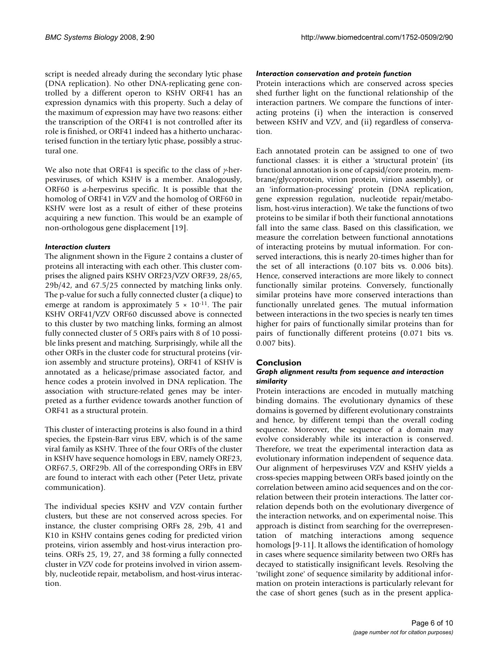script is needed already during the secondary lytic phase (DNA replication). No other DNA-replicating gene controlled by a different operon to KSHV ORF41 has an expression dynamics with this property. Such a delay of the maximum of expression may have two reasons: either the transcription of the ORF41 is not controlled after its role is finished, or ORF41 indeed has a hitherto uncharacterised function in the tertiary lytic phase, possibly a structural one.

We also note that ORF41 is specific to the class of  $\gamma$ -herpesviruses, of which KSHV is a member. Analogously, ORF60 is *a*-herpesvirus specific. It is possible that the homolog of ORF41 in VZV and the homolog of ORF60 in KSHV were lost as a result of either of these proteins acquiring a new function. This would be an example of non-orthologous gene displacement [19].

#### *Interaction clusters*

The alignment shown in the Figure 2 contains a cluster of proteins all interacting with each other. This cluster comprises the aligned pairs KSHV ORF23/VZV ORF39, 28/65, 29b/42, and 67.5/25 connected by matching links only. The p-value for such a fully connected cluster (a clique) to emerge at random is approximately  $5 \times 10^{-11}$ . The pair KSHV ORF41/VZV ORF60 discussed above is connected to this cluster by two matching links, forming an almost fully connected cluster of 5 ORFs pairs with 8 of 10 possible links present and matching. Surprisingly, while all the other ORFs in the cluster code for structural proteins (virion assembly and structure proteins), ORF41 of KSHV is annotated as a helicase/primase associated factor, and hence codes a protein involved in DNA replication. The association with structure-related genes may be interpreted as a further evidence towards another function of ORF41 as a structural protein.

This cluster of interacting proteins is also found in a third species, the Epstein-Barr virus EBV, which is of the same viral family as KSHV. Three of the four ORFs of the cluster in KSHV have sequence homologs in EBV, namely ORF23, ORF67.5, ORF29b. All of the corresponding ORFs in EBV are found to interact with each other (Peter Uetz, private communication).

The individual species KSHV and VZV contain further clusters, but these are not conserved across species. For instance, the cluster comprising ORFs 28, 29b, 41 and K10 in KSHV contains genes coding for predicted virion proteins, virion assembly and host-virus interaction proteins. ORFs 25, 19, 27, and 38 forming a fully connected cluster in VZV code for proteins involved in virion assembly, nucleotide repair, metabolism, and host-virus interaction.

#### *Interaction conservation and protein function*

Protein interactions which are conserved across species shed further light on the functional relationship of the interaction partners. We compare the functions of interacting proteins (i) when the interaction is conserved between KSHV and VZV, and (ii) regardless of conservation.

Each annotated protein can be assigned to one of two functional classes: it is either a 'structural protein' (its functional annotation is one of capsid/core protein, membrane/glycoprotein, virion protein, virion assembly), or an 'information-processing' protein (DNA replication, gene expression regulation, nucleotide repair/metabolism, host-virus interaction). We take the functions of two proteins to be similar if both their functional annotations fall into the same class. Based on this classification, we measure the correlation between functional annotations of interacting proteins by mutual information. For conserved interactions, this is nearly 20-times higher than for the set of all interactions (0.107 bits vs. 0.006 bits). Hence, conserved interactions are more likely to connect functionally similar proteins. Conversely, functionally similar proteins have more conserved interactions than functionally unrelated genes. The mutual information between interactions in the two species is nearly ten times higher for pairs of functionally similar proteins than for pairs of functionally different proteins (0.071 bits vs. 0.007 bits).

#### **Conclusion**

#### *Graph alignment results from sequence and interaction similarity*

Protein interactions are encoded in mutually matching binding domains. The evolutionary dynamics of these domains is governed by different evolutionary constraints and hence, by different tempi than the overall coding sequence. Moreover, the sequence of a domain may evolve considerably while its interaction is conserved. Therefore, we treat the experimental interaction data as evolutionary information independent of sequence data. Our alignment of herpesviruses VZV and KSHV yields a cross-species mapping between ORFs based jointly on the correlation between amino acid sequences and on the correlation between their protein interactions. The latter correlation depends both on the evolutionary divergence of the interaction networks, and on experimental noise. This approach is distinct from searching for the overrepresentation of matching interactions among sequence homologs [9-11]. It allows the identification of homology in cases where sequence similarity between two ORFs has decayed to statistically insignificant levels. Resolving the 'twilight zone' of sequence similarity by additional information on protein interactions is particularly relevant for the case of short genes (such as in the present applica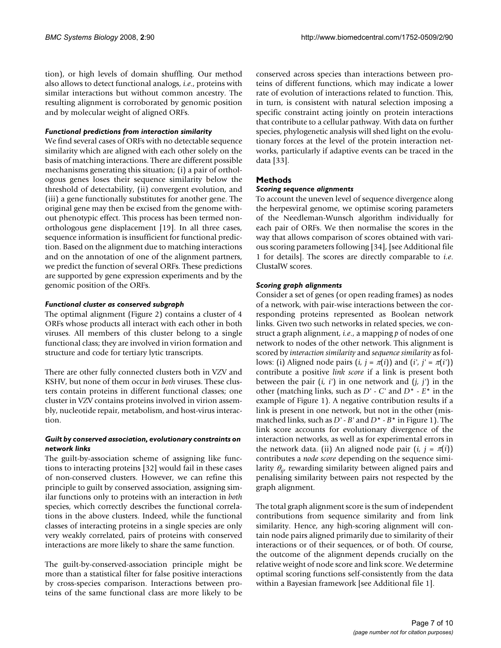tion), or high levels of domain shuffling. Our method also allows to detect functional analogs, *i.e*., proteins with similar interactions but without common ancestry. The resulting alignment is corroborated by genomic position and by molecular weight of aligned ORFs.

#### *Functional predictions from interaction similarity*

We find several cases of ORFs with no detectable sequence similarity which are aligned with each other solely on the basis of matching interactions. There are different possible mechanisms generating this situation; (i) a pair of orthologous genes loses their sequence similarity below the threshold of detectability, (ii) convergent evolution, and (iii) a gene functionally substitutes for another gene. The original gene may then be excised from the genome without phenotypic effect. This process has been termed nonorthologous gene displacement [19]. In all three cases, sequence information is insufficient for functional prediction. Based on the alignment due to matching interactions and on the annotation of one of the alignment partners, we predict the function of several ORFs. These predictions are supported by gene expression experiments and by the genomic position of the ORFs.

#### *Functional cluster as conserved subgraph*

The optimal alignment (Figure 2) contains a cluster of 4 ORFs whose products all interact with each other in both viruses. All members of this cluster belong to a single functional class; they are involved in virion formation and structure and code for tertiary lytic transcripts.

There are other fully connected clusters both in VZV and KSHV, but none of them occur in *both* viruses. These clusters contain proteins in different functional classes; one cluster in VZV contains proteins involved in virion assembly, nucleotide repair, metabolism, and host-virus interaction.

#### *Guilt by conserved association, evolutionary constraints on network links*

The guilt-by-association scheme of assigning like functions to interacting proteins [32] would fail in these cases of non-conserved clusters. However, we can refine this principle to guilt by conserved association, assigning similar functions only to proteins with an interaction in *both* species, which correctly describes the functional correlations in the above clusters. Indeed, while the functional classes of interacting proteins in a single species are only very weakly correlated, pairs of proteins with conserved interactions are more likely to share the same function.

The guilt-by-conserved-association principle might be more than a statistical filter for false positive interactions by cross-species comparison. Interactions between proteins of the same functional class are more likely to be conserved across species than interactions between proteins of different functions, which may indicate a lower rate of evolution of interactions related to function. This, in turn, is consistent with natural selection imposing a specific constraint acting jointly on protein interactions that contribute to a cellular pathway. With data on further species, phylogenetic analysis will shed light on the evolutionary forces at the level of the protein interaction networks, particularly if adaptive events can be traced in the data [33].

#### **Methods**

#### *Scoring sequence alignments*

To account the uneven level of sequence divergence along the herpesviral genome, we optimise scoring parameters of the Needleman-Wunsch algorithm individually for each pair of ORFs. We then normalise the scores in the way that allows comparison of scores obtained with various scoring parameters following [34], [see Additional file 1 for details]. The scores are directly comparable to *i.e*. ClustalW scores.

#### *Scoring graph alignments*

Consider a set of genes (or open reading frames) as nodes of a network, with pair-wise interactions between the corresponding proteins represented as Boolean network links. Given two such networks in related species, we construct a graph alignment, *i.e*., a mapping *p* of nodes of one network to nodes of the other network. This alignment is scored by *interaction similarity* and *sequence similarity* as follows: (i) Aligned node pairs  $(i, j = \pi(i))$  and  $(i', j' = \pi(i'))$ contribute a positive *link score* if a link is present both between the pair (*i, i'*) in one network and (*j, j'*) in the other (matching links, such as *D'* - *C'* and *D*\* - *E*\* in the example of Figure 1). A negative contribution results if a link is present in one network, but not in the other (mismatched links, such as *D'* - *B'* and *D*\* - *B*\* in Figure 1). The link score accounts for evolutionary divergence of the interaction networks, as well as for experimental errors in the network data. (ii) An aligned node pair  $(i, j = \pi(i))$ contributes a *node score* depending on the sequence similarity  $\theta_{ij}$ , rewarding similarity between aligned pairs and penalising similarity between pairs not respected by the graph alignment.

The total graph alignment score is the sum of independent contributions from sequence similarity and from link similarity. Hence, any high-scoring alignment will contain node pairs aligned primarily due to similarity of their interactions or of their sequences, or of both. Of course, the outcome of the alignment depends crucially on the relative weight of node score and link score. We determine optimal scoring functions self-consistently from the data within a Bayesian framework [see Additional file 1].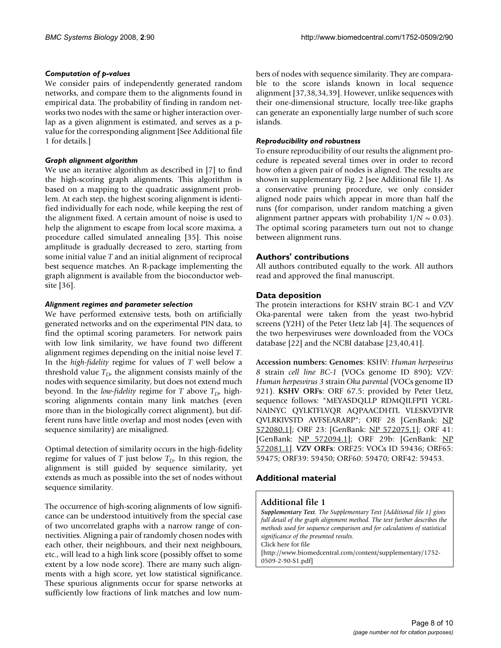#### *Computation of p-values*

We consider pairs of independently generated random networks, and compare them to the alignments found in empirical data. The probability of finding in random networks two nodes with the same or higher interaction overlap as a given alignment is estimated, and serves as a pvalue for the corresponding alignment [See Additional file 1 for details.]

#### *Graph alignment algorithm*

We use an iterative algorithm as described in [7] to find the high-scoring graph alignments. This algorithm is based on a mapping to the quadratic assignment problem. At each step, the highest scoring alignment is identified individually for each node, while keeping the rest of the alignment fixed. A certain amount of noise is used to help the alignment to escape from local score maxima, a procedure called simulated annealing [35]. This noise amplitude is gradually decreased to zero, starting from some initial value *T* and an initial alignment of reciprocal best sequence matches. An R-package implementing the graph alignment is available from the bioconductor website [36].

#### *Alignment regimes and parameter selection*

We have performed extensive tests, both on artificially generated networks and on the experimental PIN data, to find the optimal scoring parameters. For network pairs with low link similarity, we have found two different alignment regimes depending on the initial noise level *T*. In the *high-fidelity* regime for values of *T* well below a threshold value  $T_{D}$ , the alignment consists mainly of the nodes with sequence similarity, but does not extend much beyond. In the *low-fidelity* regime for *T* above  $T_{D}$ , highscoring alignments contain many link matches (even more than in the biologically correct alignment), but different runs have little overlap and most nodes (even with sequence similarity) are misaligned.

Optimal detection of similarity occurs in the high-fidelity regime for values of *T* just below  $T_D$ . In this region, the alignment is still guided by sequence similarity, yet extends as much as possible into the set of nodes without sequence similarity.

The occurrence of high-scoring alignments of low significance can be understood intuitively from the special case of two uncorrelated graphs with a narrow range of connectivities. Aligning a pair of randomly chosen nodes with each other, their neighbours, and their next neighbours, etc., will lead to a high link score (possibly offset to some extent by a low node score). There are many such alignments with a high score, yet low statistical significance. These spurious alignments occur for sparse networks at sufficiently low fractions of link matches and low numbers of nodes with sequence similarity. They are comparable to the score islands known in local sequence alignment [37,38,34,39]. However, unlike sequences with their one-dimensional structure, locally tree-like graphs can generate an exponentially large number of such score islands.

#### *Reproducibility and robustness*

To ensure reproducibility of our results the alignment procedure is repeated several times over in order to record how often a given pair of nodes is aligned. The results are shown in supplementary Fig. 2 [see Additional file 1]. As a conservative pruning procedure, we only consider aligned node pairs which appear in more than half the runs (for comparison, under random matching a given alignment partner appears with probability  $1/N \sim 0.03$ ). The optimal scoring parameters turn out not to change between alignment runs.

#### **Authors' contributions**

All authors contributed equally to the work. All authors read and approved the final manuscript.

#### **Data deposition**

The protein interactions for KSHV strain BC-1 and VZV Oka-parental were taken from the yeast two-hybrid screens (Y2H) of the Peter Uetz lab [4]. The sequences of the two herpesviruses were downloaded from the VOCs database [22] and the NCBI database [23,40,41].

**Accession numbers: Genomes**: KSHV: *Human herpesvirus 8* strain *cell line BC-1* (VOCs genome ID 890); VZV: *Human herpesvirus 3* strain *Oka parental* (VOCs genome ID 921). **KSHV ORFs**: ORF 67.5: provided by Peter Uetz, sequence follows: "MEYASDQLLP RDMQILFPTI YCRL-NAINYC QYLKTFLVQR AQPAACDHTL VLESKVDTVR QVLRKIVSTD AVFSEARARP"; ORF 28 [GenBank: [NP](http://www.ncbi.nih.gov/entrez/query.fcgi?db=Nucleotide&cmd=search&term=NP 572080.1) [572080.1\]](http://www.ncbi.nih.gov/entrez/query.fcgi?db=Nucleotide&cmd=search&term=NP 572080.1); ORF 23: [GenBank: [NP 572075.1\]](http://www.ncbi.nih.gov/entrez/query.fcgi?db=Nucleotide&cmd=search&term=NP 572075.1); ORF 41: [GenBank: [NP 572094.1](http://www.ncbi.nih.gov/entrez/query.fcgi?db=Nucleotide&cmd=search&term=NP 572094.1)]; ORF 29b: [GenBank: [NP](http://www.ncbi.nih.gov/entrez/query.fcgi?db=Nucleotide&cmd=search&term=NP 572081.1) [572081.1\]](http://www.ncbi.nih.gov/entrez/query.fcgi?db=Nucleotide&cmd=search&term=NP 572081.1). **VZV ORFs**: ORF25: VOCs ID 59436; ORF65: 59475; ORF39: 59450; ORF60: 59470; ORF42: 59453.

#### **Additional material**

#### **Additional file 1**

0509-2-90-S1.pdf]

*Supplementary Text. The Supplementary Text [Additional file 1] gives*  full detail of the graph alignment method. The text further describes the *methods used for sequence comparison and for calculations of statistical significance of the presented results.* Click here for file [\[http://www.biomedcentral.com/content/supplementary/1752-](http://www.biomedcentral.com/content/supplementary/1752-0509-2-90-S1.pdf)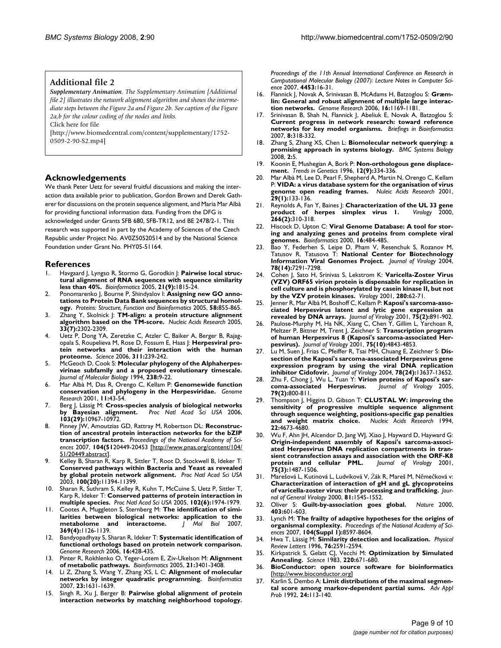#### **Additional file 2**

*Supplementary Animation. The Supplementary Animation [Additional file 2] illustrates the network alignment algorithm and shows the intermediate steps between the Figure 2a and Figure 2b. See caption of the Figure 2a,b for the colour coding of the nodes and links.*

Click here for file

[\[http://www.biomedcentral.com/content/supplementary/1752-](http://www.biomedcentral.com/content/supplementary/1752-0509-2-90-S2.mp4) 0509-2-90-S2.mp4]

#### **Acknowledgements**

We thank Peter Uetz for several fruitful discussions and making the interaction data available prior to publication, Gordon Brown and Derek Gatherer for discussions on the protein sequence alignment, and Maria Mar Albà for providing functional information data. Funding from the DFG is acknowledged under Grants SFB 680, SFB-TR12, and BE 2478/2-1. This research was supported in part by the Academy of Sciences of the Czech Republic under Project No. AV0Z50520514 and by the National Science Foundation under Grant No. PHY05-51164.

#### **References**

- Havgaard J, Lyngso R, Stormo G, Gorodkin J: [Pairwise local struc](http://www.ncbi.nlm.nih.gov/entrez/query.fcgi?cmd=Retrieve&db=PubMed&dopt=Abstract&list_uids=15657094)**[tural alignment of RNA sequences with sequence similarity](http://www.ncbi.nlm.nih.gov/entrez/query.fcgi?cmd=Retrieve&db=PubMed&dopt=Abstract&list_uids=15657094) [less than 40%.](http://www.ncbi.nlm.nih.gov/entrez/query.fcgi?cmd=Retrieve&db=PubMed&dopt=Abstract&list_uids=15657094)** *Bioinformatics* 2005, **21(9):**1815-24.
- 2. Ponomarenko J, Bourne P, Shindyalov I: **Assigning new GO annotations to Protein Data Bank sequences by structural homology.** *Proteins: Structure, Function and Bioinformatics* 2005, **58:**855-865.
- 3. Zhang Y, Skolnick J: **[TM-align: a protein structure alignment](http://www.ncbi.nlm.nih.gov/entrez/query.fcgi?cmd=Retrieve&db=PubMed&dopt=Abstract&list_uids=15849316) [algorithm based on the TM-score.](http://www.ncbi.nlm.nih.gov/entrez/query.fcgi?cmd=Retrieve&db=PubMed&dopt=Abstract&list_uids=15849316)** *Nucleic Acids Research* 2005, **33(7):**2302-2309.
- Uetz P, Dong YA, Zeretzke C, Atzler C, Baiker A, Berger B, Rajagopala S, Roupelieva M, Rose D, Fossum E, Haas J: **[Herpesviral pro](http://www.ncbi.nlm.nih.gov/entrez/query.fcgi?cmd=Retrieve&db=PubMed&dopt=Abstract&list_uids=16339411)[tein networks and their interaction with the human](http://www.ncbi.nlm.nih.gov/entrez/query.fcgi?cmd=Retrieve&db=PubMed&dopt=Abstract&list_uids=16339411) [proteome.](http://www.ncbi.nlm.nih.gov/entrez/query.fcgi?cmd=Retrieve&db=PubMed&dopt=Abstract&list_uids=16339411)** *Science* 2006, **311:**239-242.
- 5. McGeoch D, Cook S: **[Molecular phylogeny of the Alphaherpes](http://www.ncbi.nlm.nih.gov/entrez/query.fcgi?cmd=Retrieve&db=PubMed&dopt=Abstract&list_uids=8145260)[virinae subfamily and a proposed evolutionary timescale.](http://www.ncbi.nlm.nih.gov/entrez/query.fcgi?cmd=Retrieve&db=PubMed&dopt=Abstract&list_uids=8145260)** *Journal of Molecular Biology* 1994, **238:**9-22.
- 6. Mar Albà M, Das R, Orengo C, Kellam P: **[Genomewide function](http://www.ncbi.nlm.nih.gov/entrez/query.fcgi?cmd=Retrieve&db=PubMed&dopt=Abstract&list_uids=11156614) [conservation and phylogeny in the Herpesviridae.](http://www.ncbi.nlm.nih.gov/entrez/query.fcgi?cmd=Retrieve&db=PubMed&dopt=Abstract&list_uids=11156614)** *Genome Research* 2001, **11:**43-54.
- 7. Berg J, Lässig M: **[Cross-species analysis of biological networks](http://www.ncbi.nlm.nih.gov/entrez/query.fcgi?cmd=Retrieve&db=PubMed&dopt=Abstract&list_uids=16835301) [by Bayesian alignment.](http://www.ncbi.nlm.nih.gov/entrez/query.fcgi?cmd=Retrieve&db=PubMed&dopt=Abstract&list_uids=16835301)** *Proc Natl Acad Sci USA* 2006, **103(29):**10967-10972.
- 8. Pinney JW, Amoutzias GD, Rattray M, Robertson DL: **Reconstruction of ancestral protein interaction networks for the bZIP transcription factors.** *Proceedings of the National Academy of Sciences* 2007, **104(51**20449-20453 [\[http://www.pnas.org/content/104/](http://www.pnas.org/content/104/51/20449.abstract) [51/20449.abstract\]](http://www.pnas.org/content/104/51/20449.abstract).
- 9. Kelley B, Sharan R, Karp R, Sittler T, Root D, Stockwell B, Ideker T: **[Conserved pathways within Bacteria and Yeast as revealed](http://www.ncbi.nlm.nih.gov/entrez/query.fcgi?cmd=Retrieve&db=PubMed&dopt=Abstract&list_uids=14504397) [by global protein network alignment.](http://www.ncbi.nlm.nih.gov/entrez/query.fcgi?cmd=Retrieve&db=PubMed&dopt=Abstract&list_uids=14504397)** *Proc Natl Acad Sci USA* 2003, **100(20):**11394-11399.
- 10. Sharan R, Suthram S, Kelley R, Kuhn T, McCuine S, Uetz P, Sittler T, Karp R, Ideker T: **[Conserved patterns of protein interaction in](http://www.ncbi.nlm.nih.gov/entrez/query.fcgi?cmd=Retrieve&db=PubMed&dopt=Abstract&list_uids=15687504) [multiple species.](http://www.ncbi.nlm.nih.gov/entrez/query.fcgi?cmd=Retrieve&db=PubMed&dopt=Abstract&list_uids=15687504)** *Proc Natl Acad Sci USA* 2005, **102(6):**1974-1979.
- 11. Cootes A, Muggleton S, Sternberg M: **[The identification of simi](http://www.ncbi.nlm.nih.gov/entrez/query.fcgi?cmd=Retrieve&db=PubMed&dopt=Abstract&list_uids=17466331)[larities between biological networks: application to the](http://www.ncbi.nlm.nih.gov/entrez/query.fcgi?cmd=Retrieve&db=PubMed&dopt=Abstract&list_uids=17466331)**  $metabolome$  and interactome. **369(4):**1126-1139.
- 12. Bandyopadhyay S, Sharan R, Ideker T: **[Systematic identification of](http://www.ncbi.nlm.nih.gov/entrez/query.fcgi?cmd=Retrieve&db=PubMed&dopt=Abstract&list_uids=16510899) [functional orthologs based on protein network comparison.](http://www.ncbi.nlm.nih.gov/entrez/query.fcgi?cmd=Retrieve&db=PubMed&dopt=Abstract&list_uids=16510899)** *Genome Research* 2006, **16:**428-435.
- 13. Pinter R, Rokhlenko O, Yeger-Lotem E, Ziv-Ukelson M: **[Alignment](http://www.ncbi.nlm.nih.gov/entrez/query.fcgi?cmd=Retrieve&db=PubMed&dopt=Abstract&list_uids=15985496) [of metabolic pathways.](http://www.ncbi.nlm.nih.gov/entrez/query.fcgi?cmd=Retrieve&db=PubMed&dopt=Abstract&list_uids=15985496)** *Bioinformatics* 2005, **21:**3401-3408.
- 14. Li Z, Zhang S, Wang Y, Zhang XS, L C: **[Alignment of molecular](http://www.ncbi.nlm.nih.gov/entrez/query.fcgi?cmd=Retrieve&db=PubMed&dopt=Abstract&list_uids=17468121) [networks by integer quadratic programming.](http://www.ncbi.nlm.nih.gov/entrez/query.fcgi?cmd=Retrieve&db=PubMed&dopt=Abstract&list_uids=17468121)** *Bioinformatics* 2007, **23:**1631-1639.
- 15. Singh R, Xu J, Berger B: **Pairwise global alignment of protein interaction networks by matching neighborhood topology.**

*Proceedings of the 11th Annual International Conference on Research in Computational Molecular Biology (2007): Lecture Notes in Computer Science* 2007, **4453:**16-31.

- 16. Flannick J, Novak A, Srinivasan B, McAdams H, Batzoglou S: **[Græm](http://www.ncbi.nlm.nih.gov/entrez/query.fcgi?cmd=Retrieve&db=PubMed&dopt=Abstract&list_uids=16899655)[lin: General and robust alignment of multiple large interac](http://www.ncbi.nlm.nih.gov/entrez/query.fcgi?cmd=Retrieve&db=PubMed&dopt=Abstract&list_uids=16899655)[tion networks.](http://www.ncbi.nlm.nih.gov/entrez/query.fcgi?cmd=Retrieve&db=PubMed&dopt=Abstract&list_uids=16899655)** *Genome Research* 2006, **16:**1169-1181.
- Srinivasan B, Shah N, Flannick J, Abeliuk E, Novak A, Batzoglou S: **[Current progress in network research: toward reference](http://www.ncbi.nlm.nih.gov/entrez/query.fcgi?cmd=Retrieve&db=PubMed&dopt=Abstract&list_uids=17728341) [networks for key model organisms.](http://www.ncbi.nlm.nih.gov/entrez/query.fcgi?cmd=Retrieve&db=PubMed&dopt=Abstract&list_uids=17728341)** *Briefings in Bioinformatics* 2007, **8:**318-332.
- 18. Zhang S, Zhang XS, Chen L: **[Biomolecular network querying: a](http://www.ncbi.nlm.nih.gov/entrez/query.fcgi?cmd=Retrieve&db=PubMed&dopt=Abstract&list_uids=18205908) [promising approach in systems biology.](http://www.ncbi.nlm.nih.gov/entrez/query.fcgi?cmd=Retrieve&db=PubMed&dopt=Abstract&list_uids=18205908)** *BMC Systems Biology* 2008, **2:**5.
- 19. Koonin E, Mushegian A, Bork P: **[Non-orthologous gene displace](http://www.ncbi.nlm.nih.gov/entrez/query.fcgi?cmd=Retrieve&db=PubMed&dopt=Abstract&list_uids=8855656)[ment.](http://www.ncbi.nlm.nih.gov/entrez/query.fcgi?cmd=Retrieve&db=PubMed&dopt=Abstract&list_uids=8855656)** *Trends in Genetics* 1996, **12(9):**334-336.
- 20. Mar Albà M, Lee D, Pearl F, Shepherd A, Martin N, Orengo C, Kellam P: **VIDA: a virus database system for the organisation of virus genome open reading frames.** *Nuleic Acids Research* 2001, **29(1):**133-136.
- 21. Reynolds A, Fan Y, Baines J: **[Characterization of the UL 33 gene](http://www.ncbi.nlm.nih.gov/entrez/query.fcgi?cmd=Retrieve&db=PubMed&dopt=Abstract&list_uids=10639317)** product of herpes simplex virus I. **266(2):**310-318.
- 22. Hiscock D, Upton C: **[Viral Genome Database: A tool for stor](http://www.ncbi.nlm.nih.gov/entrez/query.fcgi?cmd=Retrieve&db=PubMed&dopt=Abstract&list_uids=10871272)[ing and analyzing genes and proteins from complete viral](http://www.ncbi.nlm.nih.gov/entrez/query.fcgi?cmd=Retrieve&db=PubMed&dopt=Abstract&list_uids=10871272) [genomes.](http://www.ncbi.nlm.nih.gov/entrez/query.fcgi?cmd=Retrieve&db=PubMed&dopt=Abstract&list_uids=10871272)** *Bioinformatics* 2000, **16:**484-485.
- Bao Y, Federhen S, Leipe D, Pham V, Resenchuk S, Rozanov M, Tatusov R, Tatusova T: **[National Center for Biotechnology](http://www.ncbi.nlm.nih.gov/entrez/query.fcgi?cmd=Retrieve&db=PubMed&dopt=Abstract&list_uids=15220402) [Information Viral Genomes Project.](http://www.ncbi.nlm.nih.gov/entrez/query.fcgi?cmd=Retrieve&db=PubMed&dopt=Abstract&list_uids=15220402)** *Journal of Virology* 2004, **78(14):**7291-7298.
- 24. Cohen J, Sato H, Srinivas S, Lekstrom K: **[Varicella-Zoster Virus](http://www.ncbi.nlm.nih.gov/entrez/query.fcgi?cmd=Retrieve&db=PubMed&dopt=Abstract&list_uids=11162819) [\(VZV\) ORF65 virion protein is dispensable for replication in](http://www.ncbi.nlm.nih.gov/entrez/query.fcgi?cmd=Retrieve&db=PubMed&dopt=Abstract&list_uids=11162819) cell culture and is phosphorylated by casein kinase II, but not [by the VZV protein kinases.](http://www.ncbi.nlm.nih.gov/entrez/query.fcgi?cmd=Retrieve&db=PubMed&dopt=Abstract&list_uids=11162819)** *Virology* 2001, **280:**62-71.
- 25. Jenner R, Mar Albà M, Boshoff C, Kellam P: **[Kaposi's sarcoma-asso](http://www.ncbi.nlm.nih.gov/entrez/query.fcgi?cmd=Retrieve&db=PubMed&dopt=Abstract&list_uids=11134302)[ciated Herpesvirus latent and lytic gene expression as](http://www.ncbi.nlm.nih.gov/entrez/query.fcgi?cmd=Retrieve&db=PubMed&dopt=Abstract&list_uids=11134302) [revealed by DNA arrays.](http://www.ncbi.nlm.nih.gov/entrez/query.fcgi?cmd=Retrieve&db=PubMed&dopt=Abstract&list_uids=11134302)** *Journal of Virology* 2001, **75(2):**891-902.
- 26. Paulose-Murphy M, Ha NK, Xiang C, Chen Y, Gillim L, Yarchoan R, Meltzer P, Bittner M, Trent J, Zeichner S: **[Transcription program](http://www.ncbi.nlm.nih.gov/entrez/query.fcgi?cmd=Retrieve&db=PubMed&dopt=Abstract&list_uids=11312356) [of human Herpesvirus 8 \(Kaposi's sarcoma-associated Her](http://www.ncbi.nlm.nih.gov/entrez/query.fcgi?cmd=Retrieve&db=PubMed&dopt=Abstract&list_uids=11312356)[pesvirus\).](http://www.ncbi.nlm.nih.gov/entrez/query.fcgi?cmd=Retrieve&db=PubMed&dopt=Abstract&list_uids=11312356)** *Journal of Virology* 2001, **75(10):**4843-4853.
- 27. Lu M, Suen J, Frias C, Pfeiffer R, Tsai MH, Chuang E, Zeichner S: **[Dis](http://www.ncbi.nlm.nih.gov/entrez/query.fcgi?cmd=Retrieve&db=PubMed&dopt=Abstract&list_uids=15564474)[section of the Kaposi's sarcoma-associated Herpesvirus gene](http://www.ncbi.nlm.nih.gov/entrez/query.fcgi?cmd=Retrieve&db=PubMed&dopt=Abstract&list_uids=15564474) expression program by using the viral DNA replication [inhibitor Cidofovir.](http://www.ncbi.nlm.nih.gov/entrez/query.fcgi?cmd=Retrieve&db=PubMed&dopt=Abstract&list_uids=15564474)** *Journal of Virology* 2004, **78(24):**13637-13652.
- 28. Zhu F, Chong J, Wu L, Yuan Y: **Virion proteins of Kaposi's sar-**<br> **coma-associated Herpesvirus.** Journal of Virology 2005, **[coma-associated Herpesvirus.](http://www.ncbi.nlm.nih.gov/entrez/query.fcgi?cmd=Retrieve&db=PubMed&dopt=Abstract&list_uids=15613308)** *Journal of Virology* 2005, **79(2):**800-811.
- 29. Thompson J, Higgins D, Gibson T: **[CLUSTAL W: improving the](http://www.ncbi.nlm.nih.gov/entrez/query.fcgi?cmd=Retrieve&db=PubMed&dopt=Abstract&list_uids=7984417) [sensitivity of progressive multiple sequence alignment](http://www.ncbi.nlm.nih.gov/entrez/query.fcgi?cmd=Retrieve&db=PubMed&dopt=Abstract&list_uids=7984417) through sequence weighting, positions-specific gap penalties [and weight matrix choice.](http://www.ncbi.nlm.nih.gov/entrez/query.fcgi?cmd=Retrieve&db=PubMed&dopt=Abstract&list_uids=7984417)** *Nucleic Acids Research* 1994, **22:**4673-4680.
- 30. Wu F, Ahn JH, Alcendor D, Jang WJ, Xiao J, Hayward D, Hayward G: **Origin-independent assembly of Kaposi's sarcoma-associ[ated Herpesvirus DNA replication compartments in tran](http://www.ncbi.nlm.nih.gov/entrez/query.fcgi?cmd=Retrieve&db=PubMed&dopt=Abstract&list_uids=11152521)sient cotransfection assays and association with the ORF-K8 [protein and cellular PML.](http://www.ncbi.nlm.nih.gov/entrez/query.fcgi?cmd=Retrieve&db=PubMed&dopt=Abstract&list_uids=11152521)** *Journal of Virology* 2001, **75(3):**1487-1506.
- 31. Marešová L, Kutinová L, Ludvíková V, Žák R, Mareš M, Němečková v: **[Characterization of interaction of gH and gL glycoproteins](http://www.ncbi.nlm.nih.gov/entrez/query.fcgi?cmd=Retrieve&db=PubMed&dopt=Abstract&list_uids=10811938) [of varicella-zoster virus: their processing and trafficking.](http://www.ncbi.nlm.nih.gov/entrez/query.fcgi?cmd=Retrieve&db=PubMed&dopt=Abstract&list_uids=10811938)** *Journal of General Virology* 2000, **81:**1545-1552.
- 32. Oliver S: **[Guilt-by-association goes global.](http://www.ncbi.nlm.nih.gov/entrez/query.fcgi?cmd=Retrieve&db=PubMed&dopt=Abstract&list_uids=10688178)** *Nature* 2000, **403:**601-603.
- 33. Lynch M: **The frailty of adaptive hypotheses for the origins of organismal complexity.** *Proceedings of the National Academy of Sciences* 2007, **104(Suppl 1):**8597-8604.
- 34. Hwa T, Lässig M: **[Similarity detection and localization.](http://www.ncbi.nlm.nih.gov/entrez/query.fcgi?cmd=Retrieve&db=PubMed&dopt=Abstract&list_uids=10060738)** *Physical Review Letters* 1996, **76:**2591-2594.
- 35. Kirkpatrick S, Gelatt CJ, Vecchi M: **[Optimization by Simulated](http://www.ncbi.nlm.nih.gov/entrez/query.fcgi?cmd=Retrieve&db=PubMed&dopt=Abstract&list_uids=17813860) [Annealing.](http://www.ncbi.nlm.nih.gov/entrez/query.fcgi?cmd=Retrieve&db=PubMed&dopt=Abstract&list_uids=17813860)** *Science* 1983, **220:**671-680.
- 36. **BioConductor: open source software for bioinformatics** [[http://www.bioconductor.org\]](http://www.bioconductor.org)
- 37. Karlin S, Dembo A: **Limit distributions of the maximal segmental score among markov-dependent partial sums.** *Adv Appl Prob* 1992, **24:**113-140.